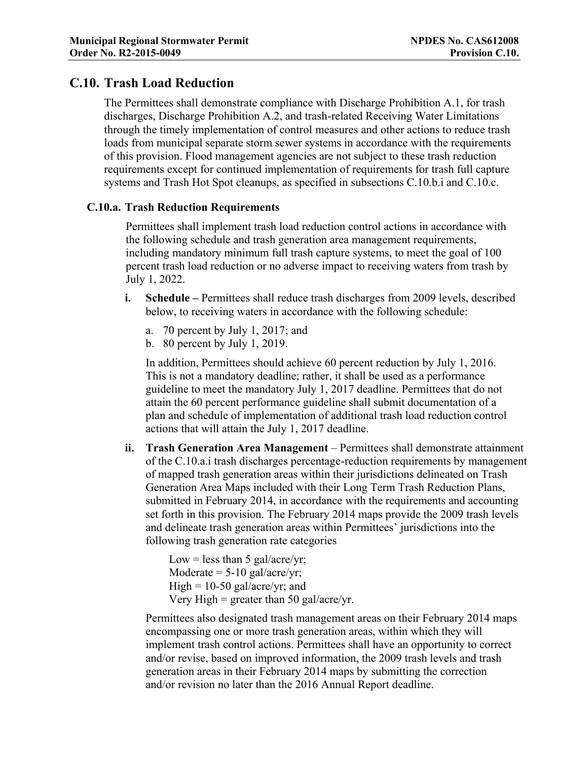Municipal Regional Stormwater Permit<br>
Order No. R2-2015-0049<br>
Provision C.10.<br>
C.10. Trash Load Reduction<br>
The Permittees shall demonstrate compliance with Discharge Prohibition A.1, for trash<br>
discharges Discharge Prohibi Municipal Regional Stormwater Permit<br>
Order No. R2-2015-0049<br>
C.10. Trash Load Reduction<br>
The Permittees shall demonstrate compliance with Discharge Prohib<br>
discharges, Discharge Prohibition A.2, and trash-related Receivin The Permittees shall demonstrate compliance with Discharge Prohibition A.1, for trash discharges, Discharge Prohibition A.2, and trash-related Receiving Water Limitations through the timely implementation of control measures and other actions to reduce trash loads from municipal separate storm sewer systems in accordance with the requirements of this provision. Flood management agencies are not subject to these trash reduction requirements except for continued implementation of requirements for trash full capture systems and Trash Hot Spot cleanups, as specified in subsections C.10.b.i and C.10.c.

## C.10.a. Trash Reduction Requirements

Permittees shall implement trash load reduction control actions in accordance with the following schedule and trash generation area management requirements, including mandatory minimum full trash capture systems, to meet the goal of 100 percent trash load reduction or no adverse impact to receiving waters from trash by July 1, 2022.

- i. Schedule Permittees shall reduce trash discharges from 2009 levels, described below, to receiving waters in accordance with the following schedule:
	- a. 70 percent by July 1, 2017; and
	- b. 80 percent by July 1, 2019.

In addition, Permittees should achieve 60 percent reduction by July 1, 2016. This is not a mandatory deadline; rather, it shall be used as a performance guideline to meet the mandatory July 1, 2017 deadline. Permittees that do not attain the 60 percent performance guideline shall submit documentation of a plan and schedule of implementation of additional trash load reduction control actions that will attain the July 1, 2017 deadline.

ii. Trash Generation Area Management – Permittees shall demonstrate attainment of the C.10.a.i trash discharges percentage-reduction requirements by management of mapped trash generation areas within their jurisdictions delineated on Trash Generation Area Maps included with their Long Term Trash Reduction Plans, submitted in February 2014, in accordance with the requirements and accounting set forth in this provision. The February 2014 maps provide the 2009 trash levels and delineate trash generation areas within Permittees' jurisdictions into the following trash generation rate categories

> Low = less than 5 gal/acre/yr; Moderate  $= 5-10$  gal/acre/yr;  $High = 10-50$  gal/acre/yr; and Very High = greater than 50 gal/acre/yr.

Permittees also designated trash management areas on their February 2014 maps encompassing one or more trash generation areas, within which they will implement trash control actions. Permittees shall have an opportunity to correct and/or revise, based on improved information, the 2009 trash levels and trash generation areas in their February 2014 maps by submitting the correction and/or revision no later than the 2016 Annual Report deadline.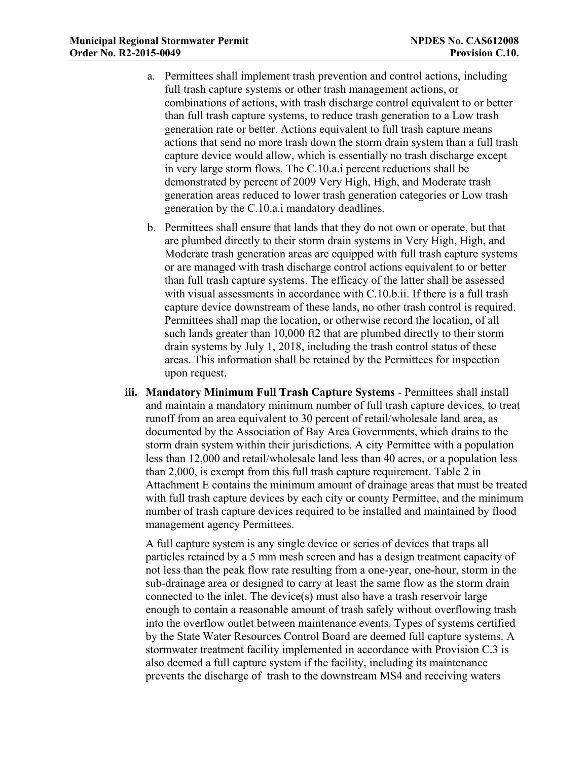- Municipal Regional Stormwater Permit<br>
Order No. R2-2015-0049<br>
Provision C.10.<br>
2. Permittees shall implement trash prevention and control actions, including<br>
full trash capture systems or other trash management actions, or a. Permittees shall implement trash prevention and control actions, including full trash capture systems or other trash management actions, or combinations of actions, with trash discharge control equivalent to or better than full trash capture systems, to reduce trash generation to a Low trash generation rate or better. Actions equivalent to full trash capture means actions that send no more trash down the storm drain system than a full trash capture device would allow, which is essentially no trash discharge except in very large storm flows. The C.10.a.i percent reductions shall be demonstrated by percent of 2009 Very High, High, and Moderate trash generation areas reduced to lower trash generation categories or Low trash generation by the C.10.a.i mandatory deadlines.
	- b. Permittees shall ensure that lands that they do not own or operate, but that are plumbed directly to their storm drain systems in Very High, High, and Moderate trash generation areas are equipped with full trash capture systems or are managed with trash discharge control actions equivalent to or better than full trash capture systems. The efficacy of the latter shall be assessed with visual assessments in accordance with C.10.b.ii. If there is a full trash capture device downstream of these lands, no other trash control is required. Permittees shall map the location, or otherwise record the location, of all such lands greater than 10,000 ft2 that are plumbed directly to their storm drain systems by July 1, 2018, including the trash control status of these areas. This information shall be retained by the Permittees for inspection upon request.
	- iii. Mandatory Minimum Full Trash Capture Systems Permittees shall install and maintain a mandatory minimum number of full trash capture devices, to treat runoff from an area equivalent to 30 percent of retail/wholesale land area, as documented by the Association of Bay Area Governments, which drains to the storm drain system within their jurisdictions. A city Permittee with a population less than 12,000 and retail/wholesale land less than 40 acres, or a population less than 2,000, is exempt from this full trash capture requirement. Table 2 in Attachment E contains the minimum amount of drainage areas that must be treated with full trash capture devices by each city or county Permittee, and the minimum number of trash capture devices required to be installed and maintained by flood management agency Permittees.

A full capture system is any single device or series of devices that traps all particles retained by a 5 mm mesh screen and has a design treatment capacity of not less than the peak flow rate resulting from a one-year, one-hour, storm in the sub-drainage area or designed to carry at least the same flow as the storm drain connected to the inlet. The device(s) must also have a trash reservoir large enough to contain a reasonable amount of trash safely without overflowing trash into the overflow outlet between maintenance events. Types of systems certified by the State Water Resources Control Board are deemed full capture systems. A stormwater treatment facility implemented in accordance with Provision C.3 is also deemed a full capture system if the facility, including its maintenance prevents the discharge of trash to the downstream MS4 and receiving waters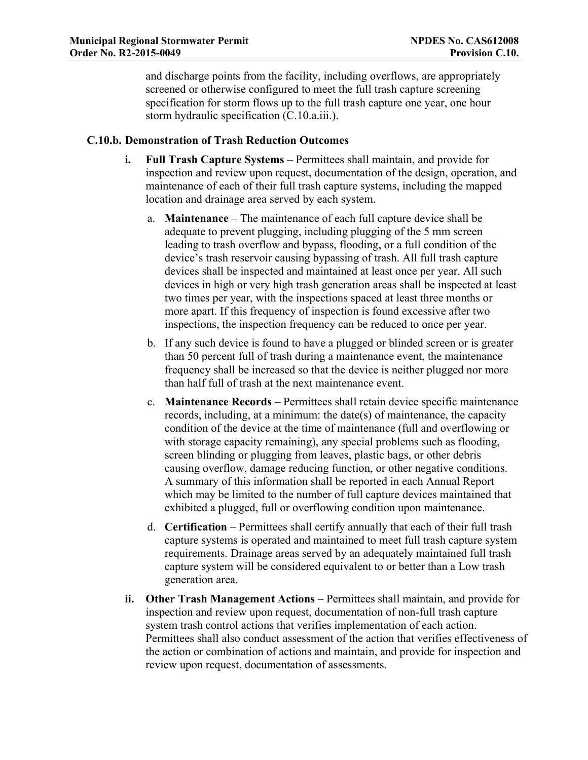Municipal Regional Stormwater Permit<br>
Order No. R2-2015-0049<br>
Provision C.10.<br>
and discharge points from the facility, including overflows, are appropriately<br>
screened or otherwise configured to meet the full trash capture and discharge points from the facility, including overflows, are appropriately screened or otherwise configured to meet the full trash capture screening specification for storm flows up to the full trash capture one year, one hour storm hydraulic specification (C.10.a.iii.).

#### C.10.b. Demonstration of Trash Reduction Outcomes

- i. Full Trash Capture Systems Permittees shall maintain, and provide for inspection and review upon request, documentation of the design, operation, and maintenance of each of their full trash capture systems, including the mapped location and drainage area served by each system.
	- a. Maintenance The maintenance of each full capture device shall be adequate to prevent plugging, including plugging of the 5 mm screen leading to trash overflow and bypass, flooding, or a full condition of the device's trash reservoir causing bypassing of trash. All full trash capture devices shall be inspected and maintained at least once per year. All such devices in high or very high trash generation areas shall be inspected at least two times per year, with the inspections spaced at least three months or more apart. If this frequency of inspection is found excessive after two inspections, the inspection frequency can be reduced to once per year.
	- b. If any such device is found to have a plugged or blinded screen or is greater than 50 percent full of trash during a maintenance event, the maintenance frequency shall be increased so that the device is neither plugged nor more than half full of trash at the next maintenance event.
	- c. Maintenance Records Permittees shall retain device specific maintenance records, including, at a minimum: the date(s) of maintenance, the capacity condition of the device at the time of maintenance (full and overflowing or with storage capacity remaining), any special problems such as flooding, screen blinding or plugging from leaves, plastic bags, or other debris causing overflow, damage reducing function, or other negative conditions. A summary of this information shall be reported in each Annual Report which may be limited to the number of full capture devices maintained that exhibited a plugged, full or overflowing condition upon maintenance.
	- d. Certification Permittees shall certify annually that each of their full trash capture systems is operated and maintained to meet full trash capture system requirements. Drainage areas served by an adequately maintained full trash capture system will be considered equivalent to or better than a Low trash generation area.
- ii. Other Trash Management Actions Permittees shall maintain, and provide for inspection and review upon request, documentation of non-full trash capture system trash control actions that verifies implementation of each action. Permittees shall also conduct assessment of the action that verifies effectiveness of the action or combination of actions and maintain, and provide for inspection and review upon request, documentation of assessments.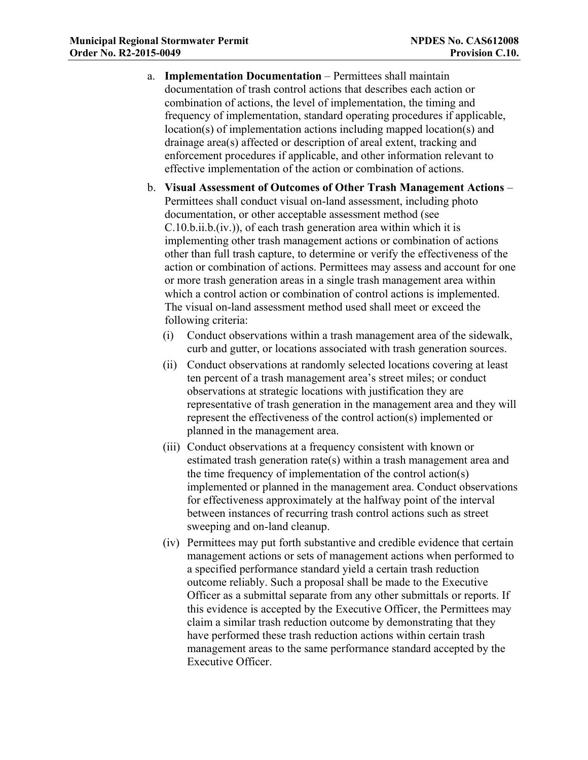- Municipal Regional Stormwater Permit<br>
Order No. R2-2015-0049<br>
Provision C.10.<br>
a. Implementation Documentation Permittees shall maintain<br>
documentation of trash control actions that describes each action or<br>
combination a. Implementation Documentation – Permittees shall maintain documentation of trash control actions that describes each action or combination of actions, the level of implementation, the timing and frequency of implementation, standard operating procedures if applicable, location(s) of implementation actions including mapped location(s) and drainage area(s) affected or description of areal extent, tracking and enforcement procedures if applicable, and other information relevant to effective implementation of the action or combination of actions.
	- b. Visual Assessment of Outcomes of Other Trash Management Actions Permittees shall conduct visual on-land assessment, including photo documentation, or other acceptable assessment method (see C.10.b.ii.b.(iv.)), of each trash generation area within which it is implementing other trash management actions or combination of actions other than full trash capture, to determine or verify the effectiveness of the action or combination of actions. Permittees may assess and account for one or more trash generation areas in a single trash management area within which a control action or combination of control actions is implemented. The visual on-land assessment method used shall meet or exceed the following criteria:
		- (i) Conduct observations within a trash management area of the sidewalk, curb and gutter, or locations associated with trash generation sources.
		- (ii) Conduct observations at randomly selected locations covering at least ten percent of a trash management area's street miles; or conduct observations at strategic locations with justification they are representative of trash generation in the management area and they will represent the effectiveness of the control action(s) implemented or planned in the management area.
		- (iii) Conduct observations at a frequency consistent with known or estimated trash generation rate(s) within a trash management area and the time frequency of implementation of the control action(s) implemented or planned in the management area. Conduct observations for effectiveness approximately at the halfway point of the interval between instances of recurring trash control actions such as street sweeping and on-land cleanup.
		- (iv) Permittees may put forth substantive and credible evidence that certain management actions or sets of management actions when performed to a specified performance standard yield a certain trash reduction outcome reliably. Such a proposal shall be made to the Executive Officer as a submittal separate from any other submittals or reports. If this evidence is accepted by the Executive Officer, the Permittees may claim a similar trash reduction outcome by demonstrating that they have performed these trash reduction actions within certain trash management areas to the same performance standard accepted by the Executive Officer.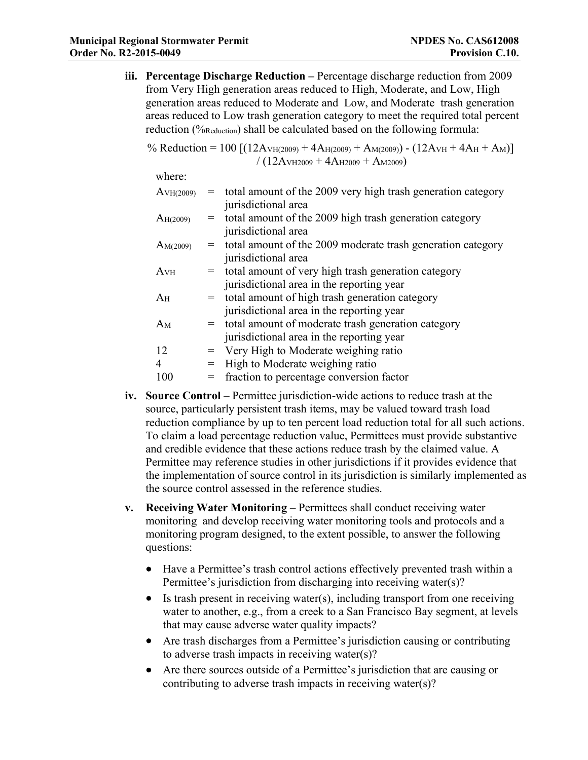Municipal Regional Stormwater Permit<br>
Order No. R2-2015-0049<br>
Provision C.10.<br>
iii. Percentage Discharge Reduction – Percentage discharge reduction from 2009<br>
from Very High generation areas reduced to High, Moderate, and iii. Percentage Discharge Reduction – Percentage discharge reduction from 2009 from Very High generation areas reduced to High, Moderate, and Low, High generation areas reduced to Moderate and Low, and Moderate trash generation areas reduced to Low trash generation category to meet the required total percent reduction (%Reduction) shall be calculated based on the following formula: **Example 10 Reduction** = **Permit**<br> **Reduction = 100 Expanding Permits = 100 Permits = 100 Permits = 100 Permits = 100 Permits = 100 Permits = 100 Permits = 100 Permits = 100 Permits = 100 Permits = 100** 

/ (12AVH2009 + 4AH2009 + AM2009)

|                                                                               |                                                                                                                                                                                                                                                                                                                                                                                                                                                                                                                                                                                                                                                                        |  | reduction (% reduction) shall be calculated based on the following formula:                                                                                                      |  |  |  |  |
|-------------------------------------------------------------------------------|------------------------------------------------------------------------------------------------------------------------------------------------------------------------------------------------------------------------------------------------------------------------------------------------------------------------------------------------------------------------------------------------------------------------------------------------------------------------------------------------------------------------------------------------------------------------------------------------------------------------------------------------------------------------|--|----------------------------------------------------------------------------------------------------------------------------------------------------------------------------------|--|--|--|--|
|                                                                               |                                                                                                                                                                                                                                                                                                                                                                                                                                                                                                                                                                                                                                                                        |  | % Reduction = 100 [(12A $\text{VH}(2009)$ + 4A $\text{H}(2009)$ + A $\text{M}(2009)$ ) - (12A $\text{VH}$ + 4A $\text{H}$ + A $\text{M}$ )]<br>$/(12AVH2009 + 4AH2009 + AM2009)$ |  |  |  |  |
|                                                                               | where:                                                                                                                                                                                                                                                                                                                                                                                                                                                                                                                                                                                                                                                                 |  |                                                                                                                                                                                  |  |  |  |  |
|                                                                               | A <sub>VH(2009)</sub>                                                                                                                                                                                                                                                                                                                                                                                                                                                                                                                                                                                                                                                  |  | $=$ total amount of the 2009 very high trash generation category<br>jurisdictional area                                                                                          |  |  |  |  |
|                                                                               | $A_{H(2009)}$                                                                                                                                                                                                                                                                                                                                                                                                                                                                                                                                                                                                                                                          |  | $=$ total amount of the 2009 high trash generation category<br>jurisdictional area                                                                                               |  |  |  |  |
|                                                                               | $A_{M(2009)}$                                                                                                                                                                                                                                                                                                                                                                                                                                                                                                                                                                                                                                                          |  | = total amount of the 2009 moderate trash generation category<br>jurisdictional area                                                                                             |  |  |  |  |
|                                                                               | A <sub>VH</sub>                                                                                                                                                                                                                                                                                                                                                                                                                                                                                                                                                                                                                                                        |  | = total amount of very high trash generation category<br>jurisdictional area in the reporting year                                                                               |  |  |  |  |
|                                                                               | A <sub>H</sub>                                                                                                                                                                                                                                                                                                                                                                                                                                                                                                                                                                                                                                                         |  | = total amount of high trash generation category<br>jurisdictional area in the reporting year                                                                                    |  |  |  |  |
|                                                                               | $A_M$                                                                                                                                                                                                                                                                                                                                                                                                                                                                                                                                                                                                                                                                  |  | = total amount of moderate trash generation category<br>jurisdictional area in the reporting year                                                                                |  |  |  |  |
|                                                                               | 12                                                                                                                                                                                                                                                                                                                                                                                                                                                                                                                                                                                                                                                                     |  | $=$ Very High to Moderate weighing ratio                                                                                                                                         |  |  |  |  |
|                                                                               | $\overline{4}$                                                                                                                                                                                                                                                                                                                                                                                                                                                                                                                                                                                                                                                         |  | = High to Moderate weighing ratio                                                                                                                                                |  |  |  |  |
|                                                                               | 100                                                                                                                                                                                                                                                                                                                                                                                                                                                                                                                                                                                                                                                                    |  | = fraction to percentage conversion factor                                                                                                                                       |  |  |  |  |
| iv.                                                                           | <b>Source Control</b> – Permittee jurisdiction-wide actions to reduce trash at the<br>source, particularly persistent trash items, may be valued toward trash load<br>reduction compliance by up to ten percent load reduction total for all such actions.<br>To claim a load percentage reduction value, Permittees must provide substantive<br>and credible evidence that these actions reduce trash by the claimed value. A<br>Permittee may reference studies in other jurisdictions if it provides evidence that<br>the implementation of source control in its jurisdiction is similarly implemented as<br>the source control assessed in the reference studies. |  |                                                                                                                                                                                  |  |  |  |  |
| V.                                                                            | Receiving Water Monitoring – Permittees shall conduct receiving water<br>monitoring and develop receiving water monitoring tools and protocols and a<br>monitoring program designed, to the extent possible, to answer the following<br>questions:                                                                                                                                                                                                                                                                                                                                                                                                                     |  |                                                                                                                                                                                  |  |  |  |  |
| Have a Permittee's trash control actions effectively prevented trash within a |                                                                                                                                                                                                                                                                                                                                                                                                                                                                                                                                                                                                                                                                        |  |                                                                                                                                                                                  |  |  |  |  |

- source, particularly persistent trash items, may be valued toward trash load reduction compliance by up to ten percent load reduction total for all such actions. To claim a load percentage reduction value, Permittees must provide substantive and credible evidence that these actions reduce trash by the claimed value. A Permittee may reference studies in other jurisdictions if it provides evidence that the implementation of source control in its jurisdiction is similarly implemented as the source control assessed in the reference studies.
- monitoring and develop receiving water monitoring tools and protocols and a monitoring program designed, to the extent possible, to answer the following questions:
	- Have a Permittee's trash control actions effectively prevented trash within a Permittee's jurisdiction from discharging into receiving water(s)?
	- Is trash present in receiving water(s), including transport from one receiving  $\bullet$ water to another, e.g., from a creek to a San Francisco Bay segment, at levels that may cause adverse water quality impacts?
	- Are trash discharges from a Permittee's jurisdiction causing or contributing to adverse trash impacts in receiving water(s)?
	- Are there sources outside of a Permittee's jurisdiction that are causing or contributing to adverse trash impacts in receiving water(s)?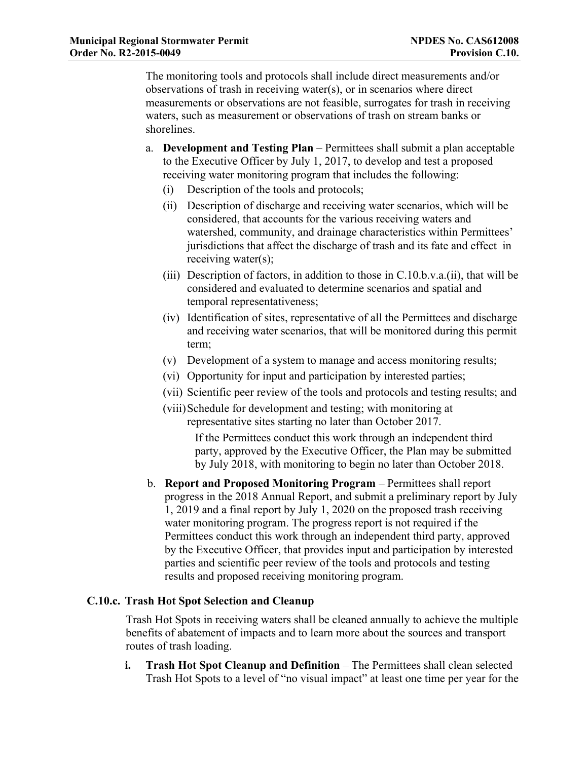Municipal Regional Stormwater Permit<br>
Order No. R2-2015-0049<br>
Provision C.10.<br>
The monitoring tools and protocols shall include direct measurements and/or<br>
observations of trash in receiving water(s), or in scenarios where The monitoring tools and protocols shall include direct measurements and/or observations of trash in receiving water(s), or in scenarios where direct measurements or observations are not feasible, surrogates for trash in receiving waters, such as measurement or observations of trash on stream banks or shorelines.

- a. Development and Testing Plan Permittees shall submit a plan acceptable to the Executive Officer by July 1, 2017, to develop and test a proposed receiving water monitoring program that includes the following:
	- (i) Description of the tools and protocols;
- (iii) Meramonton of transmission of the discharge discussion of transmission C.10.<br>
(iii) monitoring tools and protocols shall include direct measurements and/or<br>
exervations of transhin receiving water (s), or in scenario considered, that accounts for the various receiving waters and watershed, community, and drainage characteristics within Permittees' jurisdictions that affect the discharge of trash and its fate and effect in receiving water(s);
	- (iii) Description of factors, in addition to those in C.10.b.v.a.(ii), that will be considered and evaluated to determine scenarios and spatial and temporal representativeness;
	- (iv) Identification of sites, representative of all the Permittees and discharge and receiving water scenarios, that will be monitored during this permit term;
	- (v) Development of a system to manage and access monitoring results;
	- (vi) Opportunity for input and participation by interested parties;
	- (vii) Scientific peer review of the tools and protocols and testing results; and
	- (viii)Schedule for development and testing; with monitoring at representative sites starting no later than October 2017.

If the Permittees conduct this work through an independent third party, approved by the Executive Officer, the Plan may be submitted by July 2018, with monitoring to begin no later than October 2018.

valuated, commany, standard product this work through the proposed Monitor (see the proposed more considered and evaluated to determine seenarios and spatial and temporal representativeness;<br>(ii) Description of factors, in progress in the 2018 Annual Report, and submit a preliminary report by July 1, 2019 and a final report by July 1, 2020 on the proposed trash receiving water monitoring program. The progress report is not required if the Permittees conduct this work through an independent third party, approved by the Executive Officer, that provides input and participation by interested parties and scientific peer review of the tools and protocols and testing results and proposed receiving monitoring program.

# C.10.c. Trash Hot Spot Selection and Cleanup

Trash Hot Spots in receiving waters shall be cleaned annually to achieve the multiple benefits of abatement of impacts and to learn more about the sources and transport routes of trash loading.

i. Trash Hot Spot Cleanup and Definition – The Permittees shall clean selected Trash Hot Spots to a level of "no visual impact" at least one time per year for the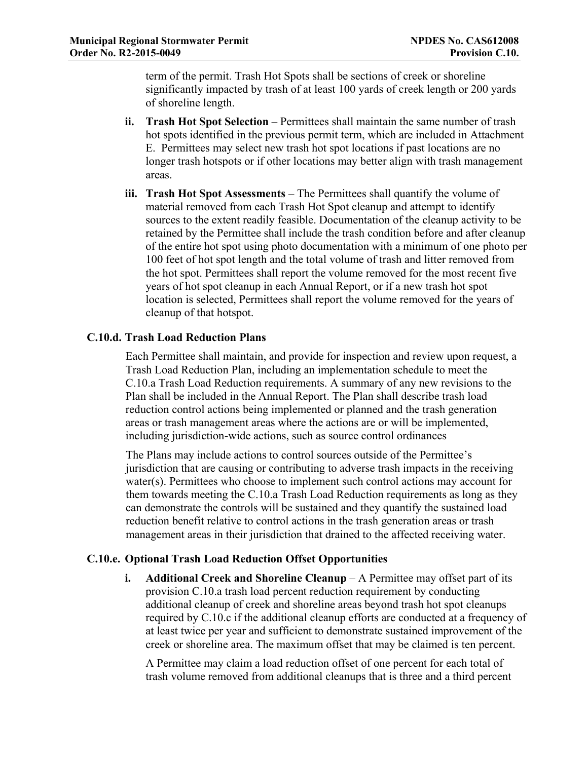Municipal Regional Stormwater Permit<br>
Order No. R2-2015-0049<br>
Provision C.10.<br>
term of the permit. Trash Hot Spots shall be sections of creek or shoreline<br>
significantly impacted by trash of at least 100 yards of creek len term of the permit. Trash Hot Spots shall be sections of creek or shoreline significantly impacted by trash of at least 100 yards of creek length or 200 yards of shoreline length.

- ii. Trash Hot Spot Selection Permittees shall maintain the same number of trash hot spots identified in the previous permit term, which are included in Attachment E. Permittees may select new trash hot spot locations if past locations are no longer trash hotspots or if other locations may better align with trash management areas.
- iii. Trash Hot Spot Assessments The Permittees shall quantify the volume of material removed from each Trash Hot Spot cleanup and attempt to identify sources to the extent readily feasible. Documentation of the cleanup activity to be retained by the Permittee shall include the trash condition before and after cleanup of the entire hot spot using photo documentation with a minimum of one photo per 100 feet of hot spot length and the total volume of trash and litter removed from the hot spot. Permittees shall report the volume removed for the most recent five years of hot spot cleanup in each Annual Report, or if a new trash hot spot location is selected, Permittees shall report the volume removed for the years of cleanup of that hotspot.

# C.10.d. Trash Load Reduction Plans

Each Permittee shall maintain, and provide for inspection and review upon request, a Trash Load Reduction Plan, including an implementation schedule to meet the C.10.a Trash Load Reduction requirements. A summary of any new revisions to the Plan shall be included in the Annual Report. The Plan shall describe trash load reduction control actions being implemented or planned and the trash generation areas or trash management areas where the actions are or will be implemented, including jurisdiction-wide actions, such as source control ordinances

The Plans may include actions to control sources outside of the Permittee's jurisdiction that are causing or contributing to adverse trash impacts in the receiving water(s). Permittees who choose to implement such control actions may account for them towards meeting the C.10.a Trash Load Reduction requirements as long as they can demonstrate the controls will be sustained and they quantify the sustained load reduction benefit relative to control actions in the trash generation areas or trash management areas in their jurisdiction that drained to the affected receiving water.

## C.10.e. Optional Trash Load Reduction Offset Opportunities

i. Additional Creek and Shoreline Cleanup – A Permittee may offset part of its provision C.10.a trash load percent reduction requirement by conducting additional cleanup of creek and shoreline areas beyond trash hot spot cleanups required by C.10.c if the additional cleanup efforts are conducted at a frequency of at least twice per year and sufficient to demonstrate sustained improvement of the creek or shoreline area. The maximum offset that may be claimed is ten percent.

A Permittee may claim a load reduction offset of one percent for each total of trash volume removed from additional cleanups that is three and a third percent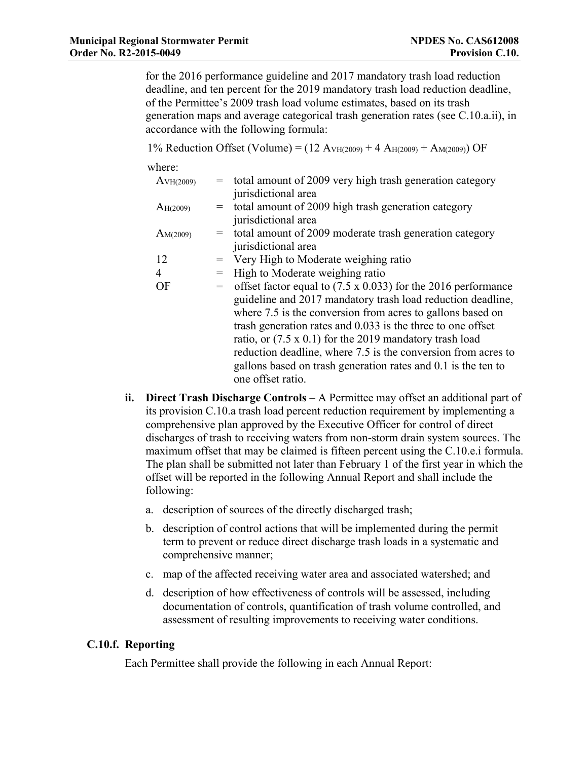Municipal Regional Stormwater Permit<br>
Order No. R2-2015-0049<br>
Frovision C.10.<br>
for the 2016 performance guideline and 2017 mandatory trash load reduction<br>
deadline, and ten percent for the 2019 mandatory trash load reducti for the 2016 performance guideline and 2017 mandatory trash load reduction deadline, and ten percent for the 2019 mandatory trash load reduction deadline, of the Permittee's 2009 trash load volume estimates, based on its trash generation maps and average categorical trash generation rates (see C.10.a.ii), in accordance with the following formula:

| egional Stormwater Permit<br>2-2015-0049 |                                                                                                                                                                                                                                                                                                                                                                                                                                                                                                                                                                                                                |                                 |     | <b>NPDES No. CAS612008</b><br>Provision C.10.                                                                                                                                                                                                                                                                                                                                                                                                                                             |  |
|------------------------------------------|----------------------------------------------------------------------------------------------------------------------------------------------------------------------------------------------------------------------------------------------------------------------------------------------------------------------------------------------------------------------------------------------------------------------------------------------------------------------------------------------------------------------------------------------------------------------------------------------------------------|---------------------------------|-----|-------------------------------------------------------------------------------------------------------------------------------------------------------------------------------------------------------------------------------------------------------------------------------------------------------------------------------------------------------------------------------------------------------------------------------------------------------------------------------------------|--|
|                                          |                                                                                                                                                                                                                                                                                                                                                                                                                                                                                                                                                                                                                |                                 |     | for the 2016 performance guideline and 2017 mandatory trash load reduction<br>deadline, and ten percent for the 2019 mandatory trash load reduction deadline,<br>of the Permittee's 2009 trash load volume estimates, based on its trash<br>generation maps and average categorical trash generation rates (see C.10.a.ii), in<br>accordance with the following formula:                                                                                                                  |  |
|                                          |                                                                                                                                                                                                                                                                                                                                                                                                                                                                                                                                                                                                                |                                 |     | 1% Reduction Offset (Volume) = $(12 \text{ A}_{VH(2009)} + 4 \text{ A}_{H(2009)} + \text{A}_{M(2009)})$ OF                                                                                                                                                                                                                                                                                                                                                                                |  |
|                                          |                                                                                                                                                                                                                                                                                                                                                                                                                                                                                                                                                                                                                | where:<br>A <sub>VH(2009)</sub> | $=$ | total amount of 2009 very high trash generation category                                                                                                                                                                                                                                                                                                                                                                                                                                  |  |
|                                          |                                                                                                                                                                                                                                                                                                                                                                                                                                                                                                                                                                                                                | $A_{H(2009)}$                   | $=$ | jurisdictional area<br>total amount of 2009 high trash generation category<br>jurisdictional area                                                                                                                                                                                                                                                                                                                                                                                         |  |
|                                          |                                                                                                                                                                                                                                                                                                                                                                                                                                                                                                                                                                                                                | AM(2009)                        | $=$ | total amount of 2009 moderate trash generation category<br>jurisdictional area                                                                                                                                                                                                                                                                                                                                                                                                            |  |
|                                          | 12                                                                                                                                                                                                                                                                                                                                                                                                                                                                                                                                                                                                             |                                 | $=$ | Very High to Moderate weighing ratio                                                                                                                                                                                                                                                                                                                                                                                                                                                      |  |
|                                          | $\overline{4}$                                                                                                                                                                                                                                                                                                                                                                                                                                                                                                                                                                                                 |                                 | $=$ | High to Moderate weighing ratio                                                                                                                                                                                                                                                                                                                                                                                                                                                           |  |
|                                          |                                                                                                                                                                                                                                                                                                                                                                                                                                                                                                                                                                                                                | OF                              | $=$ | offset factor equal to $(7.5 \times 0.033)$ for the 2016 performance<br>guideline and 2017 mandatory trash load reduction deadline,<br>where 7.5 is the conversion from acres to gallons based on<br>trash generation rates and 0.033 is the three to one offset<br>ratio, or $(7.5 \times 0.1)$ for the 2019 mandatory trash load<br>reduction deadline, where 7.5 is the conversion from acres to<br>gallons based on trash generation rates and 0.1 is the ten to<br>one offset ratio. |  |
| ii.                                      | Direct Trash Discharge Controls - A Permittee may offset an additional part of<br>its provision C.10.a trash load percent reduction requirement by implementing a<br>comprehensive plan approved by the Executive Officer for control of direct<br>discharges of trash to receiving waters from non-storm drain system sources. The<br>maximum offset that may be claimed is fifteen percent using the C.10.e.i formula.<br>The plan shall be submitted not later than February 1 of the first year in which the<br>offset will be reported in the following Annual Report and shall include the<br>following: |                                 |     |                                                                                                                                                                                                                                                                                                                                                                                                                                                                                           |  |
|                                          | a.                                                                                                                                                                                                                                                                                                                                                                                                                                                                                                                                                                                                             |                                 |     | description of sources of the directly discharged trash;                                                                                                                                                                                                                                                                                                                                                                                                                                  |  |
|                                          | $\mathbf{b}$ .                                                                                                                                                                                                                                                                                                                                                                                                                                                                                                                                                                                                 |                                 |     | description of control actions that will be implemented during the permit<br>term to prevent or reduce direct discharge trash loads in a systematic and<br>comprehensive manner;                                                                                                                                                                                                                                                                                                          |  |
|                                          |                                                                                                                                                                                                                                                                                                                                                                                                                                                                                                                                                                                                                |                                 |     | man of the affected receiving water area and associated watershed; and                                                                                                                                                                                                                                                                                                                                                                                                                    |  |

- its provision C.10.a trash load percent reduction requirement by implementing a comprehensive plan approved by the Executive Officer for control of direct discharges of trash to receiving waters from non-storm drain system sources. The maximum offset that may be claimed is fifteen percent using the C.10.e.i formula. The plan shall be submitted not later than February 1 of the first year in which the offset will be reported in the following Annual Report and shall include the following:
	-
	- b. description of control actions that will be implemented during the permit term to prevent or reduce direct discharge trash loads in a systematic and comprehensive manner;
	- c. map of the affected receiving water area and associated watershed; and
	- d. description of how effectiveness of controls will be assessed, including documentation of controls, quantification of trash volume controlled, and assessment of resulting improvements to receiving water conditions.

# C.10.f. Reporting

Each Permittee shall provide the following in each Annual Report: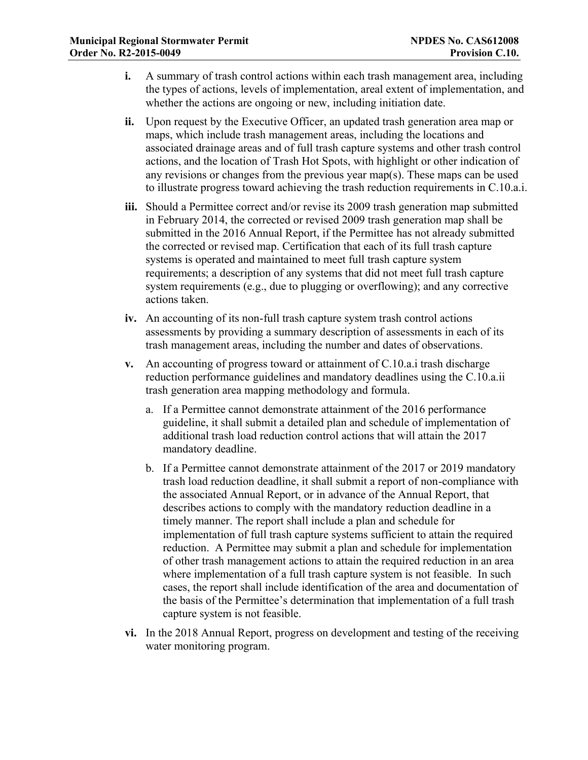- Municipal Regional Stormwater Permit<br>
Order No. R2-2015-0049<br>
Provision C.10.<br>
i. A summary of trash control actions within each trash management area, including<br>
the types of actions, levels of implementation, areal exten i. A summary of trash control actions within each trash management area, including the types of actions, levels of implementation, areal extent of implementation, and whether the actions are ongoing or new, including initiation date.
	- ii. Upon request by the Executive Officer, an updated trash generation area map or maps, which include trash management areas, including the locations and associated drainage areas and of full trash capture systems and other trash control actions, and the location of Trash Hot Spots, with highlight or other indication of any revisions or changes from the previous year map(s). These maps can be used to illustrate progress toward achieving the trash reduction requirements in C.10.a.i.
	- iii. Should a Permittee correct and/or revise its 2009 trash generation map submitted in February 2014, the corrected or revised 2009 trash generation map shall be submitted in the 2016 Annual Report, if the Permittee has not already submitted the corrected or revised map. Certification that each of its full trash capture systems is operated and maintained to meet full trash capture system requirements; a description of any systems that did not meet full trash capture system requirements (e.g., due to plugging or overflowing); and any corrective actions taken. In reordiny 2014, the corrected or revised 2009 transl generation map shall os<br>submitted in the 2016 Annual Report, if the Permittee has not already submitted<br>the corrected or revised map. Certification that each of its f
	- iv. An accounting of its non-full trash capture system trash control actions assessments by providing a summary description of assessments in each of its trash management areas, including the number and dates of observations.
	- v. An accounting of progress toward or attainment of C.10.a.i trash discharge reduction performance guidelines and mandatory deadlines using the C.10.a.ii trash generation area mapping methodology and formula.
		- a. If a Permittee cannot demonstrate attainment of the 2016 performance guideline, it shall submit a detailed plan and schedule of implementation of additional trash load reduction control actions that will attain the 2017 mandatory deadline.
		- trash load reduction deadline, it shall submit a report of non-compliance with the associated Annual Report, or in advance of the Annual Report, that describes actions to comply with the mandatory reduction deadline in a timely manner. The report shall include a plan and schedule for implementation of full trash capture systems sufficient to attain the required reduction. A Permittee may submit a plan and schedule for implementation of other trash management actions to attain the required reduction in an area where implementation of a full trash capture system is not feasible. In such cases, the report shall include identification of the area and documentation of the basis of the Permittee's determination that implementation of a full trash capture system is not feasible.
	- vi. In the 2018 Annual Report, progress on development and testing of the receiving water monitoring program.